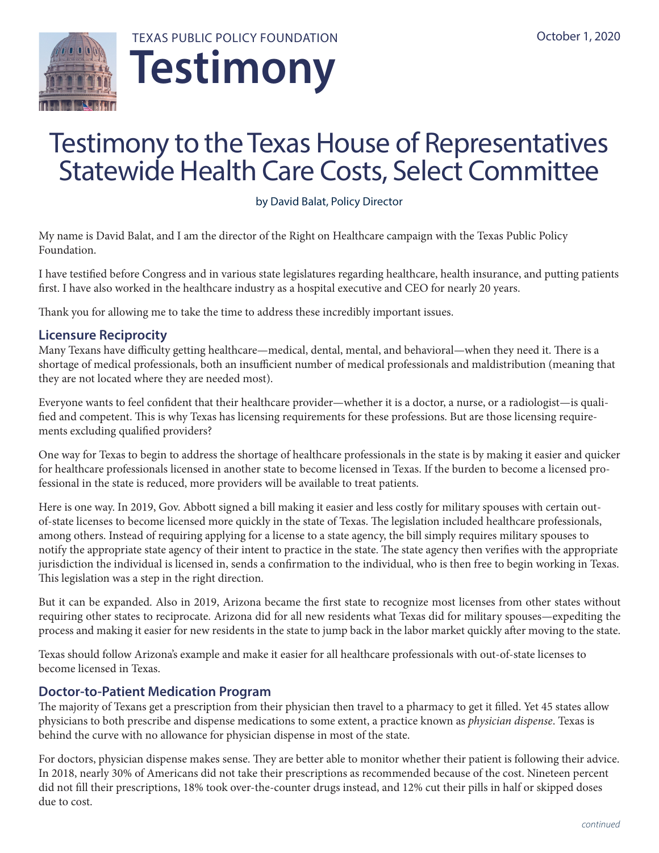



# Testimony to the Texas House of Representatives Statewide Health Care Costs, Select Committee

by David Balat, Policy Director

My name is David Balat, and I am the director of the Right on Healthcare campaign with the Texas Public Policy Foundation.

I have testified before Congress and in various state legislatures regarding healthcare, health insurance, and putting patients first. I have also worked in the healthcare industry as a hospital executive and CEO for nearly 20 years.

Thank you for allowing me to take the time to address these incredibly important issues.

# **Licensure Reciprocity**

Many Texans have difficulty getting healthcare—medical, dental, mental, and behavioral—when they need it. There is a shortage of medical professionals, both an insufficient number of medical professionals and maldistribution (meaning that they are not located where they are needed most).

Everyone wants to feel confident that their healthcare provider—whether it is a doctor, a nurse, or a radiologist—is qualified and competent. This is why Texas has licensing requirements for these professions. But are those licensing requirements excluding qualified providers?

One way for Texas to begin to address the shortage of healthcare professionals in the state is by making it easier and quicker for healthcare professionals licensed in another state to become licensed in Texas. If the burden to become a licensed professional in the state is reduced, more providers will be available to treat patients.

Here is one way. In 2019, Gov. Abbott signed a bill making it easier and less costly for military spouses with certain outof-state licenses to become licensed more quickly in the state of Texas. The legislation included healthcare professionals, among others. Instead of requiring applying for a license to a state agency, the bill simply requires military spouses to notify the appropriate state agency of their intent to practice in the state. The state agency then verifies with the appropriate jurisdiction the individual is licensed in, sends a confirmation to the individual, who is then free to begin working in Texas. This legislation was a step in the right direction.

But it can be expanded. Also in 2019, Arizona became the first state to recognize most licenses from other states without requiring other states to reciprocate. Arizona did for all new residents what Texas did for military spouses—expediting the process and making it easier for new residents in the state to jump back in the labor market quickly after moving to the state.

Texas should follow Arizona's example and make it easier for all healthcare professionals with out-of-state licenses to become licensed in Texas.

# **Doctor-to-Patient Medication Program**

The majority of Texans get a prescription from their physician then travel to a pharmacy to get it filled. Yet 45 states allow physicians to both prescribe and dispense medications to some extent, a practice known as *physician dispense*. Texas is behind the curve with no allowance for physician dispense in most of the state.

For doctors, physician dispense makes sense. They are better able to monitor whether their patient is following their advice. In 2018, nearly 30% of Americans did not take their prescriptions as recommended because of the cost. Nineteen percent did not fill their prescriptions, 18% took over-the-counter drugs instead, and 12% cut their pills in half or skipped doses due to cost.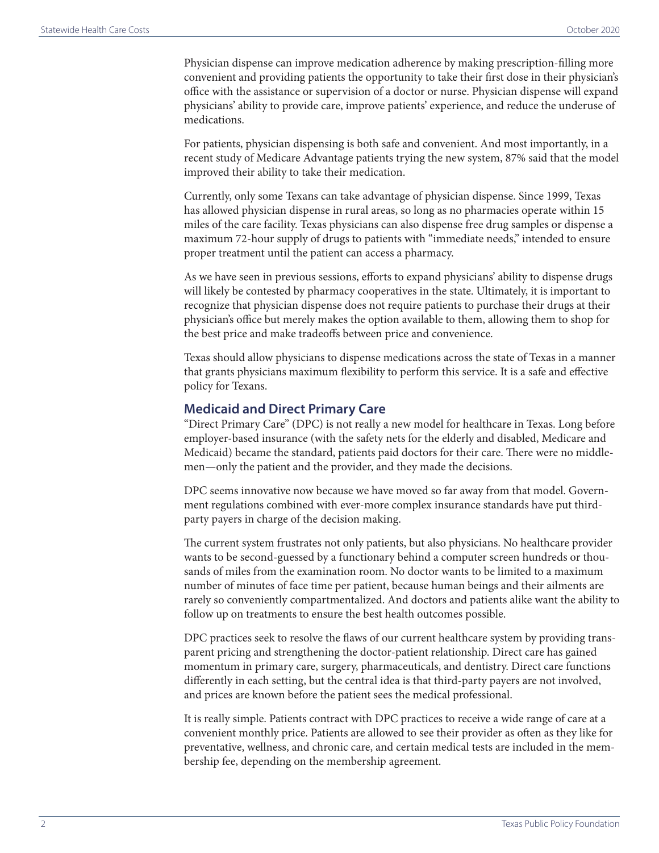Physician dispense can improve medication adherence by making prescription-filling more convenient and providing patients the opportunity to take their first dose in their physician's office with the assistance or supervision of a doctor or nurse. Physician dispense will expand physicians' ability to provide care, improve patients' experience, and reduce the underuse of medications.

For patients, physician dispensing is both safe and convenient. And most importantly, in a recent study of Medicare Advantage patients trying the new system, 87% said that the model improved their ability to take their medication.

Currently, only some Texans can take advantage of physician dispense. Since 1999, Texas has allowed physician dispense in rural areas, so long as no pharmacies operate within 15 miles of the care facility. Texas physicians can also dispense free drug samples or dispense a maximum 72-hour supply of drugs to patients with "immediate needs," intended to ensure proper treatment until the patient can access a pharmacy.

As we have seen in previous sessions, efforts to expand physicians' ability to dispense drugs will likely be contested by pharmacy cooperatives in the state. Ultimately, it is important to recognize that physician dispense does not require patients to purchase their drugs at their physician's office but merely makes the option available to them, allowing them to shop for the best price and make tradeoffs between price and convenience.

Texas should allow physicians to dispense medications across the state of Texas in a manner that grants physicians maximum flexibility to perform this service. It is a safe and effective policy for Texans.

#### **Medicaid and Direct Primary Care**

"Direct Primary Care" (DPC) is not really a new model for healthcare in Texas. Long before employer-based insurance (with the safety nets for the elderly and disabled, Medicare and Medicaid) became the standard, patients paid doctors for their care. There were no middlemen—only the patient and the provider, and they made the decisions.

DPC seems innovative now because we have moved so far away from that model. Government regulations combined with ever-more complex insurance standards have put thirdparty payers in charge of the decision making.

The current system frustrates not only patients, but also physicians. No healthcare provider wants to be second-guessed by a functionary behind a computer screen hundreds or thousands of miles from the examination room. No doctor wants to be limited to a maximum number of minutes of face time per patient, because human beings and their ailments are rarely so conveniently compartmentalized. And doctors and patients alike want the ability to follow up on treatments to ensure the best health outcomes possible.

DPC practices seek to resolve the flaws of our current healthcare system by providing transparent pricing and strengthening the doctor-patient relationship. Direct care has gained momentum in primary care, surgery, pharmaceuticals, and dentistry. Direct care functions differently in each setting, but the central idea is that third-party payers are not involved, and prices are known before the patient sees the medical professional.

It is really simple. Patients contract with DPC practices to receive a wide range of care at a convenient monthly price. Patients are allowed to see their provider as often as they like for preventative, wellness, and chronic care, and certain medical tests are included in the membership fee, depending on the membership agreement.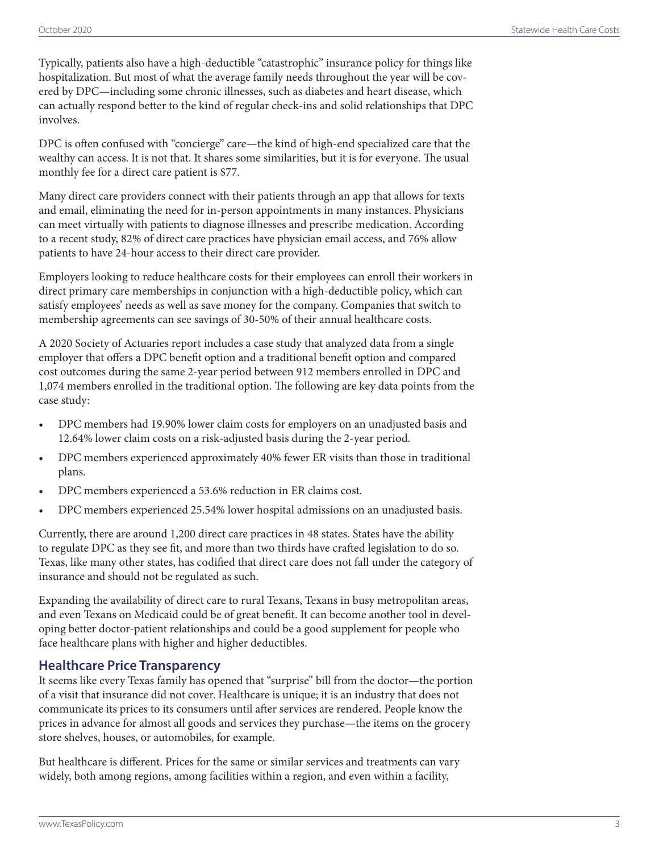Typically, patients also have a high-deductible "catastrophic" insurance policy for things like hospitalization. But most of what the average family needs throughout the year will be covered by DPC—including some chronic illnesses, such as diabetes and heart disease, which can actually respond better to the kind of regular check-ins and solid relationships that DPC involves.

DPC is often confused with "concierge" care—the kind of high-end specialized care that the wealthy can access. It is not that. It shares some similarities, but it is for everyone. The usual monthly fee for a direct care patient is \$77.

Many direct care providers connect with their patients through an app that allows for texts and email, eliminating the need for in-person appointments in many instances. Physicians can meet virtually with patients to diagnose illnesses and prescribe medication. According to a recent study, 82% of direct care practices have physician email access, and 76% allow patients to have 24-hour access to their direct care provider.

Employers looking to reduce healthcare costs for their employees can enroll their workers in direct primary care memberships in conjunction with a high-deductible policy, which can satisfy employees' needs as well as save money for the company. Companies that switch to membership agreements can see savings of 30-50% of their annual healthcare costs.

A 2020 Society of Actuaries report includes a case study that analyzed data from a single employer that offers a DPC benefit option and a traditional benefit option and compared cost outcomes during the same 2-year period between 912 members enrolled in DPC and 1,074 members enrolled in the traditional option. The following are key data points from the case study:

- DPC members had 19.90% lower claim costs for employers on an unadjusted basis and 12.64% lower claim costs on a risk-adjusted basis during the 2-year period.
- DPC members experienced approximately 40% fewer ER visits than those in traditional plans.
- DPC members experienced a 53.6% reduction in ER claims cost.
- DPC members experienced 25.54% lower hospital admissions on an unadjusted basis.

Currently, there are around 1,200 direct care practices in 48 states. States have the ability to regulate DPC as they see fit, and more than two thirds have crafted legislation to do so. Texas, like many other states, has codified that direct care does not fall under the category of insurance and should not be regulated as such.

Expanding the availability of direct care to rural Texans, Texans in busy metropolitan areas, and even Texans on Medicaid could be of great benefit. It can become another tool in developing better doctor-patient relationships and could be a good supplement for people who face healthcare plans with higher and higher deductibles.

## **Healthcare Price Transparency**

It seems like every Texas family has opened that "surprise" bill from the doctor—the portion of a visit that insurance did not cover. Healthcare is unique; it is an industry that does not communicate its prices to its consumers until after services are rendered. People know the prices in advance for almost all goods and services they purchase—the items on the grocery store shelves, houses, or automobiles, for example.

But healthcare is different. Prices for the same or similar services and treatments can vary widely, both among regions, among facilities within a region, and even within a facility,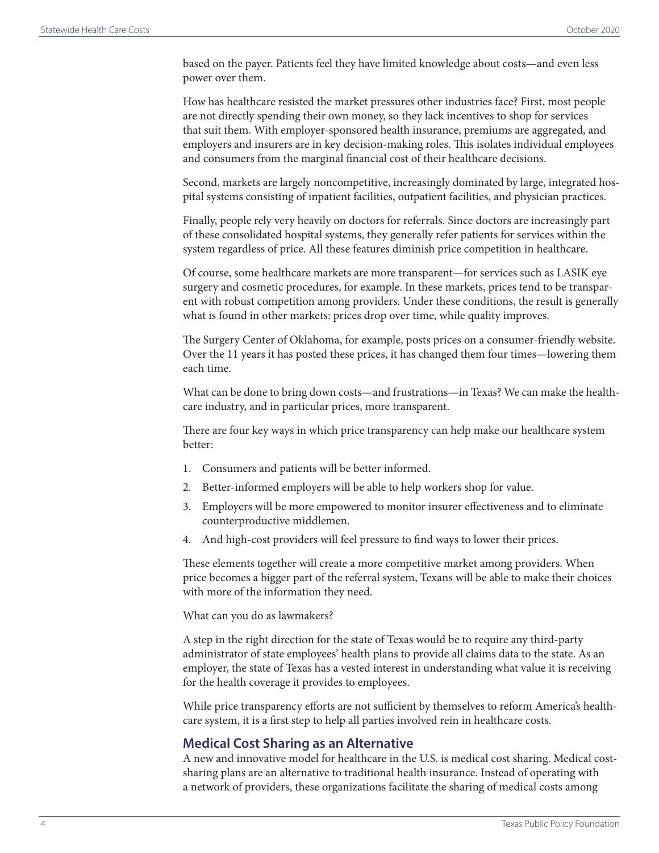based on the payer. Patients feel they have limited knowledge about costs—and even less power over them.

How has healthcare resisted the market pressures other industries face? First, most people are not directly spending their own money, so they lack incentives to shop for services that suit them. With employer-sponsored health insurance, premiums are aggregated, and employers and insurers are in key decision-making roles. This isolates individual employees and consumers from the marginal financial cost of their healthcare decisions.

Second, markets are largely noncompetitive, increasingly dominated by large, integrated hospital systems consisting of inpatient facilities, outpatient facilities, and physician practices.

Finally, people rely very heavily on doctors for referrals. Since doctors are increasingly part of these consolidated hospital systems, they generally refer patients for services within the system regardless of price. All these features diminish price competition in healthcare.

Of course, some healthcare markets are more transparent—for services such as LASIK eye surgery and cosmetic procedures, for example. In these markets, prices tend to be transparent with robust competition among providers. Under these conditions, the result is generally what is found in other markets: prices drop over time, while quality improves.

The Surgery Center of Oklahoma, for example, posts prices on a consumer-friendly website. Over the 11 years it has posted these prices, it has changed them four times—lowering them each time.

What can be done to bring down costs—and frustrations—in Texas? We can make the healthcare industry, and in particular prices, more transparent.

There are four key ways in which price transparency can help make our healthcare system better:

- 1. Consumers and patients will be better informed.
- 2. Better-informed employers will be able to help workers shop for value.
- 3. Employers will be more empowered to monitor insurer effectiveness and to eliminate counterproductive middlemen.
- 4. And high-cost providers will feel pressure to find ways to lower their prices.

These elements together will create a more competitive market among providers. When price becomes a bigger part of the referral system, Texans will be able to make their choices with more of the information they need.

What can you do as lawmakers?

A step in the right direction for the state of Texas would be to require any third-party administrator of state employees' health plans to provide all claims data to the state. As an employer, the state of Texas has a vested interest in understanding what value it is receiving for the health coverage it provides to employees.

While price transparency efforts are not sufficient by themselves to reform America's healthcare system, it is a first step to help all parties involved rein in healthcare costs.

## **Medical Cost Sharing as an Alternative**

A new and innovative model for healthcare in the U.S. is medical cost sharing. Medical costsharing plans are an alternative to traditional health insurance. Instead of operating with a network of providers, these organizations facilitate the sharing of medical costs among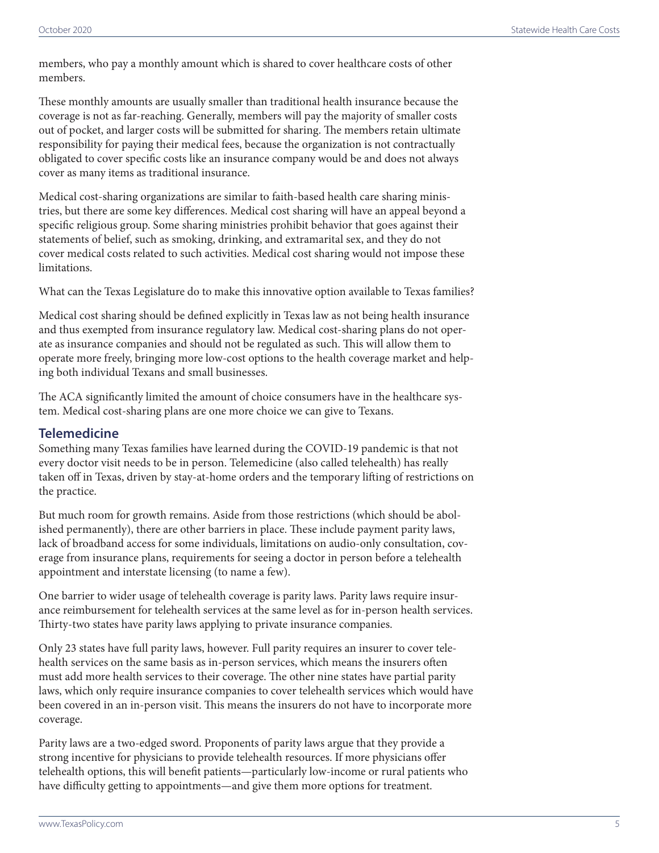members, who pay a monthly amount which is shared to cover healthcare costs of other members.

These monthly amounts are usually smaller than traditional health insurance because the coverage is not as far-reaching. Generally, members will pay the majority of smaller costs out of pocket, and larger costs will be submitted for sharing. The members retain ultimate responsibility for paying their medical fees, because the organization is not contractually obligated to cover specific costs like an insurance company would be and does not always cover as many items as traditional insurance.

Medical cost-sharing organizations are similar to faith-based health care sharing ministries, but there are some key differences. Medical cost sharing will have an appeal beyond a specific religious group. Some sharing ministries prohibit behavior that goes against their statements of belief, such as smoking, drinking, and extramarital sex, and they do not cover medical costs related to such activities. Medical cost sharing would not impose these limitations.

What can the Texas Legislature do to make this innovative option available to Texas families?

Medical cost sharing should be defined explicitly in Texas law as not being health insurance and thus exempted from insurance regulatory law. Medical cost-sharing plans do not operate as insurance companies and should not be regulated as such. This will allow them to operate more freely, bringing more low-cost options to the health coverage market and helping both individual Texans and small businesses.

The ACA significantly limited the amount of choice consumers have in the healthcare system. Medical cost-sharing plans are one more choice we can give to Texans.

## **Telemedicine**

Something many Texas families have learned during the COVID-19 pandemic is that not every doctor visit needs to be in person. Telemedicine (also called telehealth) has really taken off in Texas, driven by stay-at-home orders and the temporary lifting of restrictions on the practice.

But much room for growth remains. Aside from those restrictions (which should be abolished permanently), there are other barriers in place. These include payment parity laws, lack of broadband access for some individuals, limitations on audio-only consultation, coverage from insurance plans, requirements for seeing a doctor in person before a telehealth appointment and interstate licensing (to name a few).

One barrier to wider usage of telehealth coverage is parity laws. Parity laws require insurance reimbursement for telehealth services at the same level as for in-person health services. Thirty-two states have parity laws applying to private insurance companies.

Only 23 states have full parity laws, however. Full parity requires an insurer to cover telehealth services on the same basis as in-person services, which means the insurers often must add more health services to their coverage. The other nine states have partial parity laws, which only require insurance companies to cover telehealth services which would have been covered in an in-person visit. This means the insurers do not have to incorporate more coverage.

Parity laws are a two-edged sword. Proponents of parity laws argue that they provide a strong incentive for physicians to provide telehealth resources. If more physicians offer telehealth options, this will benefit patients—particularly low-income or rural patients who have difficulty getting to appointments—and give them more options for treatment.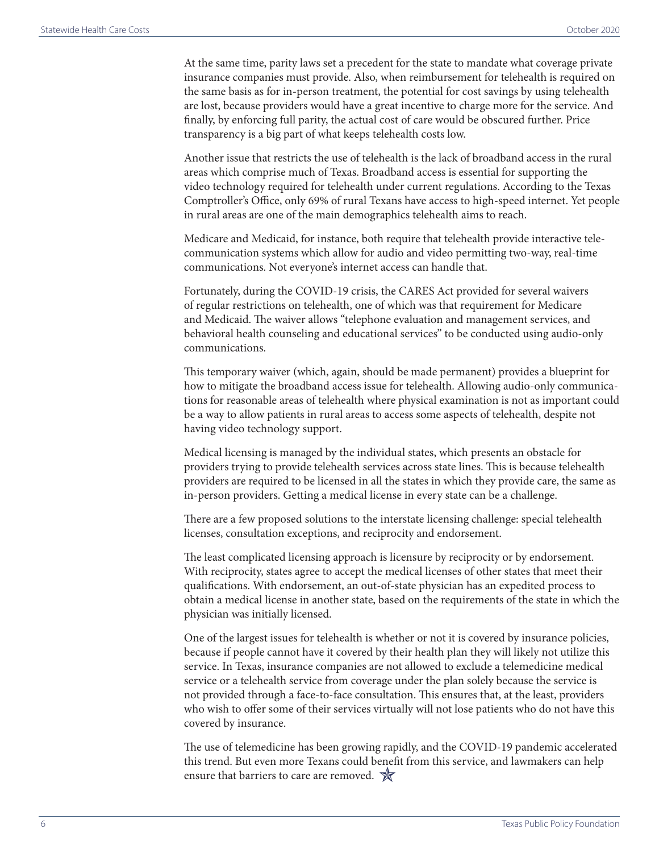At the same time, parity laws set a precedent for the state to mandate what coverage private insurance companies must provide. Also, when reimbursement for telehealth is required on the same basis as for in-person treatment, the potential for cost savings by using telehealth are lost, because providers would have a great incentive to charge more for the service. And finally, by enforcing full parity, the actual cost of care would be obscured further. Price transparency is a big part of what keeps telehealth costs low.

Another issue that restricts the use of telehealth is the lack of broadband access in the rural areas which comprise much of Texas. Broadband access is essential for supporting the video technology required for telehealth under current regulations. According to the Texas Comptroller's Office, only 69% of rural Texans have access to high-speed internet. Yet people in rural areas are one of the main demographics telehealth aims to reach.

Medicare and Medicaid, for instance, both require that telehealth provide interactive telecommunication systems which allow for audio and video permitting two-way, real-time communications. Not everyone's internet access can handle that.

Fortunately, during the COVID-19 crisis, the CARES Act provided for several waivers of regular restrictions on telehealth, one of which was that requirement for Medicare and Medicaid. The waiver allows "telephone evaluation and management services, and behavioral health counseling and educational services" to be conducted using audio-only communications.

This temporary waiver (which, again, should be made permanent) provides a blueprint for how to mitigate the broadband access issue for telehealth. Allowing audio-only communications for reasonable areas of telehealth where physical examination is not as important could be a way to allow patients in rural areas to access some aspects of telehealth, despite not having video technology support.

Medical licensing is managed by the individual states, which presents an obstacle for providers trying to provide telehealth services across state lines. This is because telehealth providers are required to be licensed in all the states in which they provide care, the same as in-person providers. Getting a medical license in every state can be a challenge.

There are a few proposed solutions to the interstate licensing challenge: special telehealth licenses, consultation exceptions, and reciprocity and endorsement.

The least complicated licensing approach is licensure by reciprocity or by endorsement. With reciprocity, states agree to accept the medical licenses of other states that meet their qualifications. With endorsement, an out-of-state physician has an expedited process to obtain a medical license in another state, based on the requirements of the state in which the physician was initially licensed.

One of the largest issues for telehealth is whether or not it is covered by insurance policies, because if people cannot have it covered by their health plan they will likely not utilize this service. In Texas, insurance companies are not allowed to exclude a telemedicine medical service or a telehealth service from coverage under the plan solely because the service is not provided through a face-to-face consultation. This ensures that, at the least, providers who wish to offer some of their services virtually will not lose patients who do not have this covered by insurance.

The use of telemedicine has been growing rapidly, and the COVID-19 pandemic accelerated this trend. But even more Texans could benefit from this service, and lawmakers can help ensure that barriers to care are removed.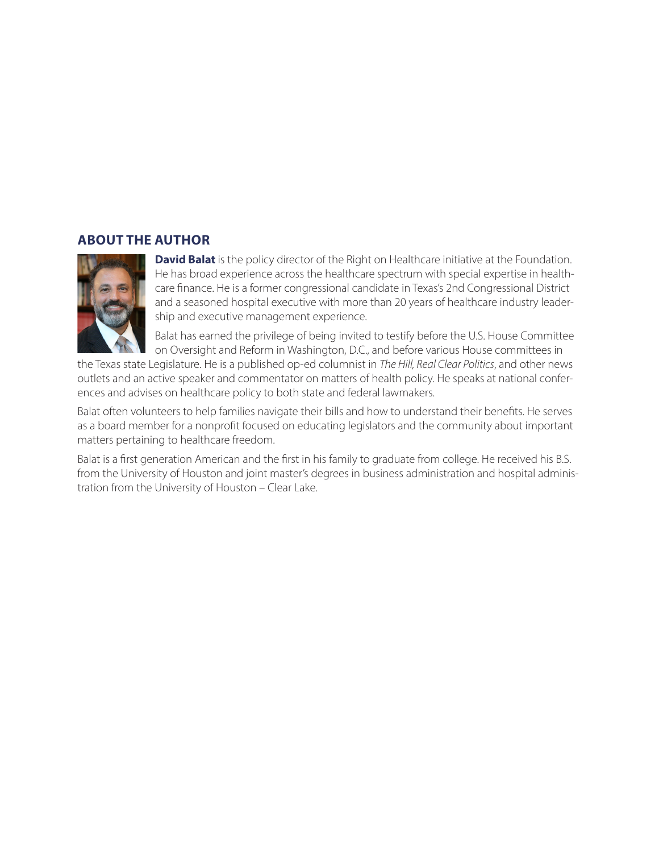# **ABOUT THE AUTHOR**



**David Balat** is the policy director of the Right on Healthcare initiative at the Foundation. He has broad experience across the healthcare spectrum with special expertise in healthcare finance. He is a former congressional candidate in Texas's 2nd Congressional District and a seasoned hospital executive with more than 20 years of healthcare industry leadership and executive management experience.

Balat has earned the privilege of being invited to testify before the U.S. House Committee on Oversight and Reform in Washington, D.C., and before various House committees in

the Texas state Legislature. He is a published op-ed columnist in *The Hill, Real Clear Politics*, and other news outlets and an active speaker and commentator on matters of health policy. He speaks at national conferences and advises on healthcare policy to both state and federal lawmakers.

Balat often volunteers to help families navigate their bills and how to understand their benefits. He serves as a board member for a nonprofit focused on educating legislators and the community about important matters pertaining to healthcare freedom.

Balat is a first generation American and the first in his family to graduate from college. He received his B.S. from the University of Houston and joint master's degrees in business administration and hospital administration from the University of Houston – Clear Lake.